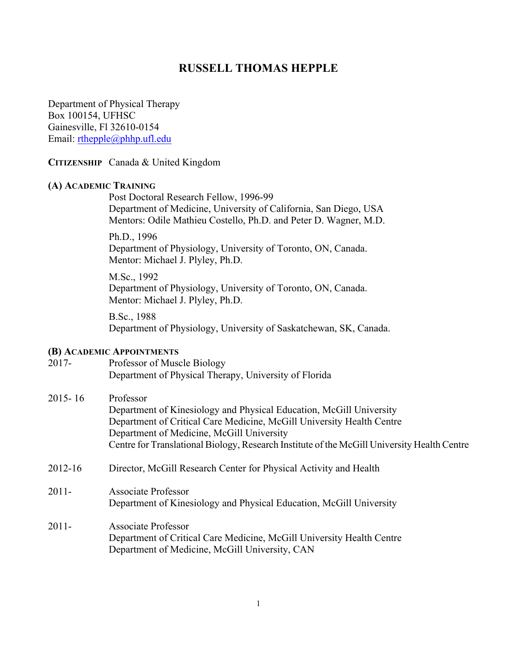# **RUSSELL THOMAS HEPPLE**

Department of Physical Therapy Box 100154, UFHSC Gainesville, Fl 32610-0154 Email: rthepple@phhp.ufl.edu

# **CITIZENSHIP** Canada & United Kingdom

### **(A) ACADEMIC TRAINING**

Post Doctoral Research Fellow, 1996-99 Department of Medicine, University of California, San Diego, USA Mentors: Odile Mathieu Costello, Ph.D. and Peter D. Wagner, M.D.

Ph.D., 1996 Department of Physiology, University of Toronto, ON, Canada. Mentor: Michael J. Plyley, Ph.D.

M.Sc., 1992 Department of Physiology, University of Toronto, ON, Canada. Mentor: Michael J. Plyley, Ph.D.

B.Sc., 1988 Department of Physiology, University of Saskatchewan, SK, Canada.

### **(B) ACADEMIC APPOINTMENTS**

| $2017 -$    | Professor of Muscle Biology                                                                                                                                                                                                                                                                           |
|-------------|-------------------------------------------------------------------------------------------------------------------------------------------------------------------------------------------------------------------------------------------------------------------------------------------------------|
|             | Department of Physical Therapy, University of Florida                                                                                                                                                                                                                                                 |
| $2015 - 16$ | Professor<br>Department of Kinesiology and Physical Education, McGill University<br>Department of Critical Care Medicine, McGill University Health Centre<br>Department of Medicine, McGill University<br>Centre for Translational Biology, Research Institute of the McGill University Health Centre |
| 2012-16     | Director, McGill Research Center for Physical Activity and Health                                                                                                                                                                                                                                     |
| $2011 -$    | <b>Associate Professor</b><br>Department of Kinesiology and Physical Education, McGill University                                                                                                                                                                                                     |
| $2011 -$    | <b>Associate Professor</b><br>Department of Critical Care Medicine, McGill University Health Centre<br>Department of Medicine, McGill University, CAN                                                                                                                                                 |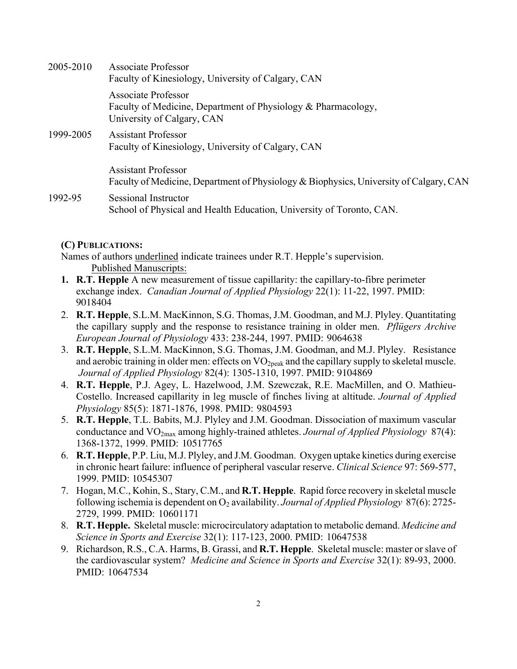| 2005-2010 | <b>Associate Professor</b><br>Faculty of Kinesiology, University of Calgary, CAN                                     |
|-----------|----------------------------------------------------------------------------------------------------------------------|
|           | Associate Professor<br>Faculty of Medicine, Department of Physiology & Pharmacology,<br>University of Calgary, CAN   |
| 1999-2005 | <b>Assistant Professor</b><br>Faculty of Kinesiology, University of Calgary, CAN                                     |
|           | <b>Assistant Professor</b><br>Faculty of Medicine, Department of Physiology & Biophysics, University of Calgary, CAN |
| 1992-95   | Sessional Instructor<br>School of Physical and Health Education, University of Toronto, CAN.                         |

# **(C) PUBLICATIONS:**

Names of authors underlined indicate trainees under R.T. Hepple's supervision. Published Manuscripts:

- **1. R.T. Hepple** A new measurement of tissue capillarity: the capillary-to-fibre perimeter exchange index. *Canadian Journal of Applied Physiology* 22(1): 11-22, 1997. PMID: 9018404
- 2. **R.T. Hepple**, S.L.M. MacKinnon, S.G. Thomas, J.M. Goodman, and M.J. Plyley. Quantitating the capillary supply and the response to resistance training in older men. *Pflügers Archive European Journal of Physiology* 433: 238-244, 1997. PMID: 9064638
- 3. **R.T. Hepple**, S.L.M. MacKinnon, S.G. Thomas, J.M. Goodman, and M.J. Plyley. Resistance and aerobic training in older men: effects on  $VO<sub>2peak</sub>$  and the capillary supply to skeletal muscle. *Journal of Applied Physiology* 82(4): 1305-1310, 1997. PMID: 9104869
- 4. **R.T. Hepple**, P.J. Agey, L. Hazelwood, J.M. Szewczak, R.E. MacMillen, and O. Mathieu-Costello. Increased capillarity in leg muscle of finches living at altitude. *Journal of Applied Physiology* 85(5): 1871-1876, 1998. PMID: 9804593
- 5. **R.T. Hepple**, T.L. Babits, M.J. Plyley and J.M. Goodman. Dissociation of maximum vascular conductance and VO2max among highly-trained athletes. *Journal of Applied Physiology* 87(4): 1368-1372, 1999. PMID: 10517765
- 6. **R.T. Hepple**, P.P. Liu, M.J. Plyley, and J.M. Goodman. Oxygen uptake kinetics during exercise in chronic heart failure: influence of peripheral vascular reserve. *Clinical Science* 97: 569-577, 1999. PMID: 10545307
- 7. Hogan, M.C., Kohin, S., Stary, C.M., and **R.T. Hepple**. Rapid force recovery in skeletal muscle following ischemia is dependent on O2 availability. *Journal of Applied Physiology* 87(6): 2725- 2729, 1999. PMID: 10601171
- 8. **R.T. Hepple.** Skeletal muscle: microcirculatory adaptation to metabolic demand. *Medicine and Science in Sports and Exercise* 32(1): 117-123, 2000. PMID: 10647538
- 9. Richardson, R.S., C.A. Harms, B. Grassi, and **R.T. Hepple**. Skeletal muscle: master or slave of the cardiovascular system? *Medicine and Science in Sports and Exercise* 32(1): 89-93, 2000. PMID: 10647534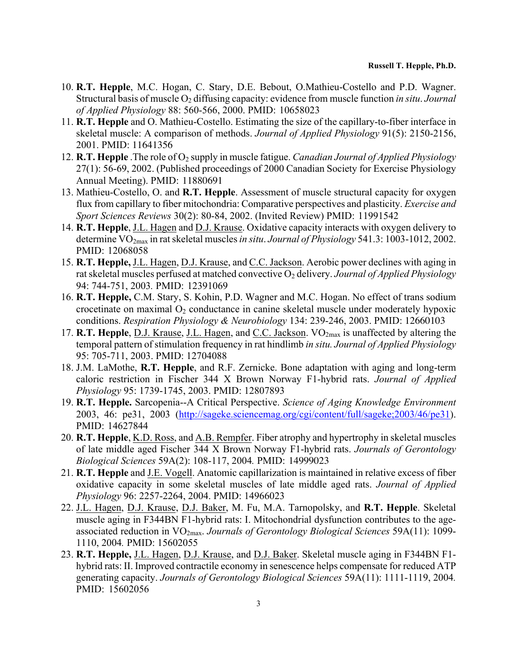- 10. **R.T. Hepple**, M.C. Hogan, C. Stary, D.E. Bebout, O.Mathieu-Costello and P.D. Wagner. Structural basis of muscle O<sub>2</sub> diffusing capacity: evidence from muscle function *in situ. Journal of Applied Physiology* 88: 560-566, 2000. PMID: 10658023
- 11. **R.T. Hepple** and O. Mathieu-Costello. Estimating the size of the capillary-to-fiber interface in skeletal muscle: A comparison of methods. *Journal of Applied Physiology* 91(5): 2150-2156, 2001. PMID: 11641356
- 12. **R.T. Hepple** .The role of O<sub>2</sub> supply in muscle fatigue. *Canadian Journal of Applied Physiology* 27(1): 56-69, 2002. (Published proceedings of 2000 Canadian Society for Exercise Physiology Annual Meeting). PMID: 11880691
- 13. Mathieu-Costello, O. and **R.T. Hepple**. Assessment of muscle structural capacity for oxygen flux from capillary to fiber mitochondria: Comparative perspectives and plasticity. *Exercise and Sport Sciences Reviews* 30(2): 80-84, 2002. (Invited Review) PMID: 11991542
- 14. **R.T. Hepple**, J.L. Hagen and D.J. Krause. Oxidative capacity interacts with oxygen delivery to determine VO2max in rat skeletal muscles *in situ*. *Journal of Physiology* 541.3: 1003-1012, 2002. PMID: 12068058
- 15. **R.T. Hepple,** J.L. Hagen, D.J. Krause, and C.C. Jackson. Aerobic power declines with aging in rat skeletal muscles perfused at matched convective O<sub>2</sub> delivery. *Journal of Applied Physiology* 94: 744-751, 2003*.* PMID: 12391069
- 16. **R.T. Hepple,** C.M. Stary, S. Kohin, P.D. Wagner and M.C. Hogan. No effect of trans sodium crocetinate on maximal  $O_2$  conductance in canine skeletal muscle under moderately hypoxic conditions. *Respiration Physiology & Neurobiology* 134: 239-246, 2003. PMID: 12660103
- 17. **R.T. Hepple**, D.J. Krause, J.L. Hagen, and C.C. Jackson. VO<sub>2max</sub> is unaffected by altering the temporal pattern of stimulation frequency in rat hindlimb *in situ. Journal of Applied Physiology*  95: 705-711, 2003. PMID: 12704088
- 18. J.M. LaMothe, **R.T. Hepple**, and R.F. Zernicke. Bone adaptation with aging and long-term caloric restriction in Fischer 344 X Brown Norway F1-hybrid rats. *Journal of Applied Physiology* 95: 1739-1745, 2003. PMID: 12807893
- 19. **R.T. Hepple.** Sarcopenia--A Critical Perspective. *Science of Aging Knowledge Environment*  2003, 46: pe31, 2003 (http://sageke.sciencemag.org/cgi/content/full/sageke;2003/46/pe31). PMID: 14627844
- 20. **R.T. Hepple**, K.D. Ross, and A.B. Rempfer. Fiber atrophy and hypertrophy in skeletal muscles of late middle aged Fischer 344 X Brown Norway F1-hybrid rats. *Journals of Gerontology Biological Sciences* 59A(2): 108-117, 2004*.* PMID: 14999023
- 21. **R.T. Hepple** and J.E. Vogell. Anatomic capillarization is maintained in relative excess of fiber oxidative capacity in some skeletal muscles of late middle aged rats. *Journal of Applied Physiology* 96: 2257-2264, 2004. PMID: 14966023
- 22. J.L. Hagen, D.J. Krause, D.J. Baker, M. Fu, M.A. Tarnopolsky, and **R.T. Hepple**. Skeletal muscle aging in F344BN F1-hybrid rats: I. Mitochondrial dysfunction contributes to the ageassociated reduction in VO2max. *Journals of Gerontology Biological Sciences* 59A(11): 1099- 1110, 2004*.* PMID: 15602055
- 23. **R.T. Hepple,** J.L. Hagen, D.J. Krause, and D.J. Baker. Skeletal muscle aging in F344BN F1 hybrid rats: II. Improved contractile economy in senescence helps compensate for reduced ATP generating capacity. *Journals of Gerontology Biological Sciences* 59A(11): 1111-1119, 2004*.* PMID: 15602056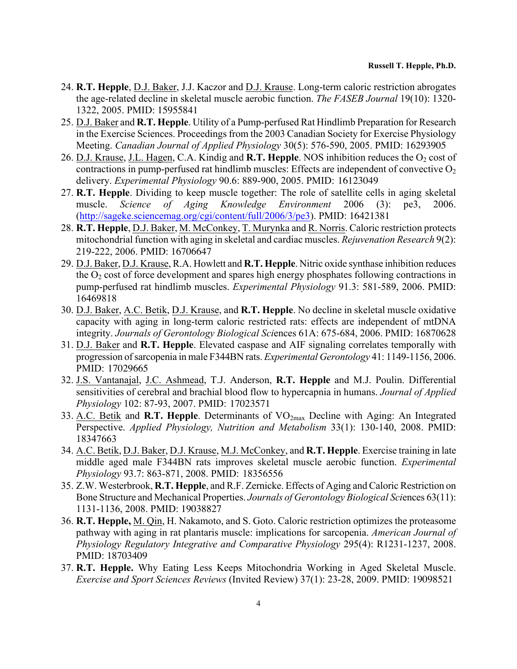- 24. **R.T. Hepple**, D.J. Baker, J.J. Kaczor and D.J. Krause. Long-term caloric restriction abrogates the age-related decline in skeletal muscle aerobic function. *The FASEB Journal* 19(10): 1320- 1322, 2005. PMID: 15955841
- 25. D.J. Baker and **R.T. Hepple**. Utility of a Pump-perfused Rat Hindlimb Preparation for Research in the Exercise Sciences. Proceedings from the 2003 Canadian Society for Exercise Physiology Meeting. *Canadian Journal of Applied Physiology* 30(5): 576-590, 2005. PMID: 16293905
- 26. D.J. Krause, J.L. Hagen, C.A. Kindig and **R.T. Hepple**. NOS inhibition reduces the O<sub>2</sub> cost of contractions in pump-perfused rat hindlimb muscles: Effects are independent of convective  $O_2$ delivery. *Experimental Physiology* 90.6: 889-900, 2005. PMID: 16123049
- 27. **R.T. Hepple**. Dividing to keep muscle together: The role of satellite cells in aging skeletal muscle. *Science of Aging Knowledge Environment* 2006 (3): pe3, 2006. (http://sageke.sciencemag.org/cgi/content/full/2006/3/pe3). PMID: 16421381
- 28. **R.T. Hepple**, D.J. Baker, M. McConkey, T. Murynka and R. Norris. Caloric restriction protects mitochondrial function with aging in skeletal and cardiac muscles. *Rejuvenation Research* 9(2): 219-222, 2006. PMID: 16706647
- 29. D.J. Baker, D.J. Krause, R.A. Howlett and **R.T. Hepple**. Nitric oxide synthase inhibition reduces the  $O<sub>2</sub>$  cost of force development and spares high energy phosphates following contractions in pump-perfused rat hindlimb muscles. *Experimental Physiology* 91.3: 581-589, 2006. PMID: 16469818
- 30. D.J. Baker, A.C. Betik, D.J. Krause, and **R.T. Hepple**. No decline in skeletal muscle oxidative capacity with aging in long-term caloric restricted rats: effects are independent of mtDNA integrity. *Journals of Gerontology Biological Sci*ences 61A: 675-684, 2006. PMID: 16870628
- 31. D.J. Baker and **R.T. Hepple**. Elevated caspase and AIF signaling correlates temporally with progression of sarcopenia in male F344BN rats. *Experimental Gerontology* 41: 1149-1156, 2006. PMID: 17029665
- 32. J.S. Vantanajal, J.C. Ashmead, T.J. Anderson, **R.T. Hepple** and M.J. Poulin. Differential sensitivities of cerebral and brachial blood flow to hypercapnia in humans. *Journal of Applied Physiology* 102: 87-93, 2007. PMID: 17023571
- 33. A.C. Betik and **R.T. Hepple**. Determinants of VO2max Decline with Aging: An Integrated Perspective. *Applied Physiology, Nutrition and Metabolism* 33(1): 130-140, 2008. PMID: 18347663
- 34. A.C. Betik, D.J. Baker, D.J. Krause, M.J. McConkey, and **R.T. Hepple**. Exercise training in late middle aged male F344BN rats improves skeletal muscle aerobic function. *Experimental Physiology* 93.7: 863-871, 2008. PMID: 18356556
- 35. Z.W. Westerbrook, **R.T. Hepple**, and R.F. Zernicke. Effects of Aging and Caloric Restriction on Bone Structure and Mechanical Properties. *Journals of Gerontology Biological Sci*ences 63(11): 1131-1136, 2008. PMID: 19038827
- 36. **R.T. Hepple,** M. Qin, H. Nakamoto, and S. Goto. Caloric restriction optimizes the proteasome pathway with aging in rat plantaris muscle: implications for sarcopenia. *American Journal of Physiology Regulatory Integrative and Comparative Physiology* 295(4): R1231-1237, 2008. PMID: 18703409
- 37. **R.T. Hepple.** Why Eating Less Keeps Mitochondria Working in Aged Skeletal Muscle. *Exercise and Sport Sciences Reviews* (Invited Review) 37(1): 23-28, 2009. PMID: 19098521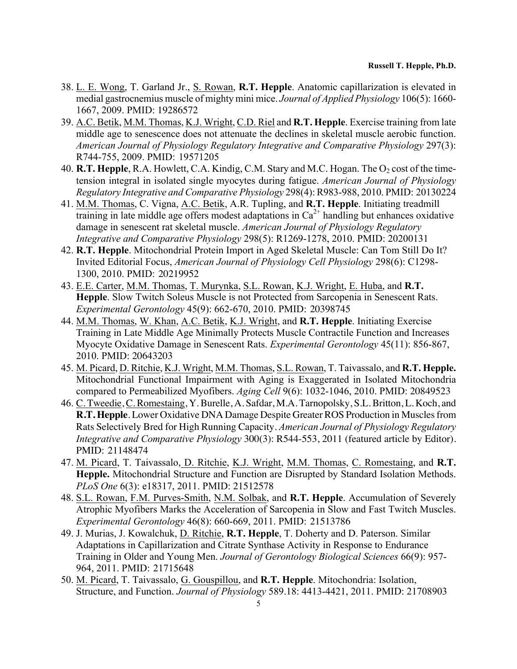#### **Russell T. Hepple, Ph.D.**

- 38. L. E. Wong, T. Garland Jr., S. Rowan, **R.T. Hepple**. Anatomic capillarization is elevated in medial gastrocnemius muscle of mighty mini mice. *Journal of Applied Physiology* 106(5): 1660- 1667, 2009. PMID: 19286572
- 39. A.C. Betik, M.M. Thomas, K.J. Wright, C.D. Riel and **R.T. Hepple**. Exercise training from late middle age to senescence does not attenuate the declines in skeletal muscle aerobic function. *American Journal of Physiology Regulatory Integrative and Comparative Physiology* 297(3): R744-755, 2009. PMID: 19571205
- 40. **R.T. Hepple**, R.A. Howlett, C.A. Kindig, C.M. Stary and M.C. Hogan. The O<sub>2</sub> cost of the timetension integral in isolated single myocytes during fatigue. *American Journal of Physiology Regulatory Integrative and Comparative Physiology* 298(4): R983-988, 2010. PMID: 20130224
- 41. M.M. Thomas, C. Vigna, A.C. Betik, A.R. Tupling, and **R.T. Hepple**. Initiating treadmill training in late middle age offers modest adaptations in  $Ca<sup>2+</sup>$  handling but enhances oxidative damage in senescent rat skeletal muscle. *American Journal of Physiology Regulatory Integrative and Comparative Physiology* 298(5): R1269-1278, 2010. PMID: 20200131
- 42. **R.T. Hepple**. Mitochondrial Protein Import in Aged Skeletal Muscle: Can Tom Still Do It? Invited Editorial Focus, *American Journal of Physiology Cell Physiology* 298(6): C1298- 1300, 2010. PMID: 20219952
- 43. E.E. Carter, M.M. Thomas, T. Murynka, S.L. Rowan, K.J. Wright, E. Huba, and **R.T. Hepple**. Slow Twitch Soleus Muscle is not Protected from Sarcopenia in Senescent Rats. *Experimental Gerontology* 45(9): 662-670, 2010. PMID: 20398745
- 44. M.M. Thomas, W. Khan, A.C. Betik, K.J. Wright, and **R.T. Hepple**. Initiating Exercise Training in Late Middle Age Minimally Protects Muscle Contractile Function and Increases Myocyte Oxidative Damage in Senescent Rats. *Experimental Gerontology* 45(11): 856-867, 2010. PMID: 20643203
- 45. M. Picard, D. Ritchie, K.J. Wright, M.M. Thomas, S.L. Rowan, T. Taivassalo, and **R.T. Hepple.** Mitochondrial Functional Impairment with Aging is Exaggerated in Isolated Mitochondria compared to Permeabilized Myofibers. *Aging Cell* 9(6): 1032-1046, 2010. PMID: 20849523
- 46. C. Tweedie, C. Romestaing, Y. Burelle, A. Safdar, M.A. Tarnopolsky, S.L. Britton, L. Koch, and **R.T. Hepple**. Lower Oxidative DNA Damage Despite Greater ROS Production in Muscles from Rats Selectively Bred for High Running Capacity. *American Journal of Physiology Regulatory Integrative and Comparative Physiology* 300(3): R544-553, 2011 (featured article by Editor). PMID: 21148474
- 47. M. Picard, T. Taivassalo, D. Ritchie, K.J. Wright, M.M. Thomas, C. Romestaing, and **R.T. Hepple.** Mitochondrial Structure and Function are Disrupted by Standard Isolation Methods. *PLoS One* 6(3): e18317, 2011. PMID: 21512578
- 48. S.L. Rowan, F.M. Purves-Smith, N.M. Solbak, and **R.T. Hepple**. Accumulation of Severely Atrophic Myofibers Marks the Acceleration of Sarcopenia in Slow and Fast Twitch Muscles. *Experimental Gerontology* 46(8): 660-669, 2011. PMID: 21513786
- 49. J. Murias, J. Kowalchuk, D. Ritchie, **R.T. Hepple**, T. Doherty and D. Paterson. Similar Adaptations in Capillarization and Citrate Synthase Activity in Response to Endurance Training in Older and Young Men. *Journal of Gerontology Biological Sciences* 66(9): 957- 964, 2011. PMID: 21715648
- 50. M. Picard, T. Taivassalo, G. Gouspillou, and **R.T. Hepple**. Mitochondria: Isolation, Structure, and Function. *Journal of Physiology* 589.18: 4413-4421, 2011. PMID: 21708903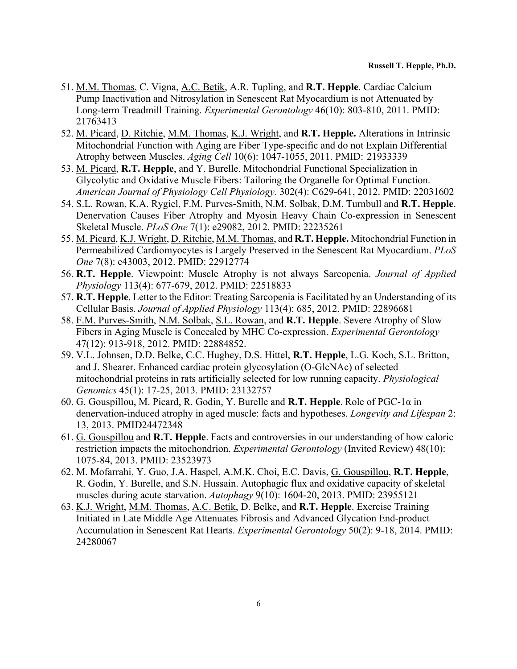- 51. M.M. Thomas, C. Vigna, A.C. Betik, A.R. Tupling, and **R.T. Hepple**. Cardiac Calcium Pump Inactivation and Nitrosylation in Senescent Rat Myocardium is not Attenuated by Long-term Treadmill Training. *Experimental Gerontology* 46(10): 803-810, 2011. PMID: 21763413
- 52. M. Picard, D. Ritchie, M.M. Thomas, K.J. Wright, and **R.T. Hepple.** Alterations in Intrinsic Mitochondrial Function with Aging are Fiber Type-specific and do not Explain Differential Atrophy between Muscles. *Aging Cell* 10(6): 1047-1055, 2011. PMID: 21933339
- 53. M. Picard, **R.T. Hepple**, and Y. Burelle. Mitochondrial Functional Specialization in Glycolytic and Oxidative Muscle Fibers: Tailoring the Organelle for Optimal Function. *American Journal of Physiology Cell Physiology.* 302(4): C629-641, 2012. PMID: 22031602
- 54. S.L. Rowan, K.A. Rygiel, F.M. Purves-Smith, N.M. Solbak, D.M. Turnbull and **R.T. Hepple**. Denervation Causes Fiber Atrophy and Myosin Heavy Chain Co-expression in Senescent Skeletal Muscle. *PLoS One* 7(1): e29082, 2012. PMID: 22235261
- 55. M. Picard, K.J. Wright, D. Ritchie, M.M. Thomas, and **R.T. Hepple.** Mitochondrial Function in Permeabilized Cardiomyocytes is Largely Preserved in the Senescent Rat Myocardium. *PLoS One* 7(8): e43003, 2012. PMID: 22912774
- 56. **R.T. Hepple**. Viewpoint: Muscle Atrophy is not always Sarcopenia. *Journal of Applied Physiology* 113(4): 677-679, 2012. PMID: 22518833
- 57. **R.T. Hepple**. Letter to the Editor: Treating Sarcopenia is Facilitated by an Understanding of its Cellular Basis. *Journal of Applied Physiology* 113(4): 685, 2012. PMID: 22896681
- 58. F.M. Purves-Smith, N.M. Solbak, S.L. Rowan, and **R.T. Hepple**. Severe Atrophy of Slow Fibers in Aging Muscle is Concealed by MHC Co-expression. *Experimental Gerontology* 47(12): 913-918, 2012. PMID: 22884852.
- 59. V.L. Johnsen, D.D. Belke, C.C. Hughey, D.S. Hittel, **R.T. Hepple**, L.G. Koch, S.L. Britton, and J. Shearer. Enhanced cardiac protein glycosylation (O-GlcNAc) of selected mitochondrial proteins in rats artificially selected for low running capacity. *Physiological Genomics* 45(1): 17-25, 2013. PMID: 23132757
- 60. G. Gouspillou, M. Picard, R. Godin, Y. Burelle and **R.T. Hepple**. Role of PGC-1α in denervation-induced atrophy in aged muscle: facts and hypotheses. *Longevity and Lifespan* 2: 13, 2013. PMID24472348
- 61. G. Gouspillou and **R.T. Hepple**. Facts and controversies in our understanding of how caloric restriction impacts the mitochondrion. *Experimental Gerontology* (Invited Review) 48(10): 1075-84, 2013. PMID: 23523973
- 62. M. Mofarrahi, Y. Guo, J.A. Haspel, A.M.K. Choi, E.C. Davis, G. Gouspillou, **R.T. Hepple**, R. Godin, Y. Burelle, and S.N. Hussain. Autophagic flux and oxidative capacity of skeletal muscles during acute starvation. *Autophagy* 9(10): 1604-20, 2013. PMID: 23955121
- 63. K.J. Wright, M.M. Thomas, A.C. Betik, D. Belke, and **R.T. Hepple**. Exercise Training Initiated in Late Middle Age Attenuates Fibrosis and Advanced Glycation End-product Accumulation in Senescent Rat Hearts. *Experimental Gerontology* 50(2): 9-18, 2014. PMID: 24280067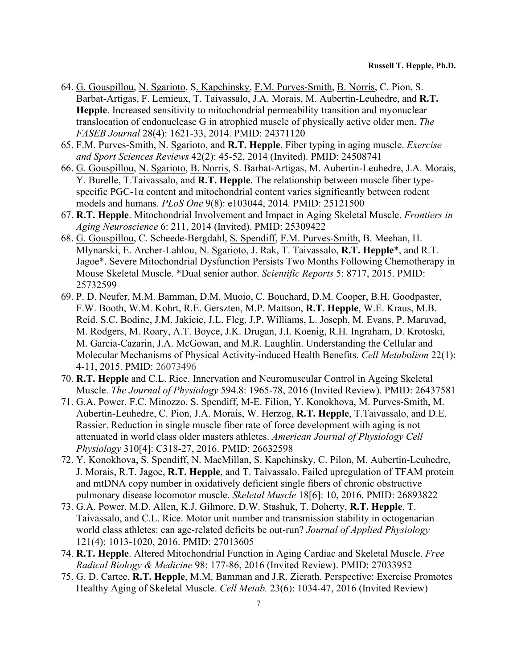- 64. G. Gouspillou, N. Sgarioto, S. Kapchinsky, F.M. Purves-Smith, B. Norris, C. Pion, S. Barbat-Artigas, F. Lemieux, T. Taivassalo, J.A. Morais, M. Aubertin-Leuhedre, and **R.T. Hepple**. Increased sensitivity to mitochondrial permeability transition and myonuclear translocation of endonuclease G in atrophied muscle of physically active older men. *The FASEB Journal* 28(4): 1621-33, 2014. PMID: 24371120
- 65. F.M. Purves-Smith, N. Sgarioto, and **R.T. Hepple**. Fiber typing in aging muscle. *Exercise and Sport Sciences Reviews* 42(2): 45-52, 2014 (Invited). PMID: 24508741
- 66. G. Gouspillou, N. Sgarioto, B. Norris, S. Barbat-Artigas, M. Aubertin-Leuhedre, J.A. Morais, Y. Burelle, T.Taivassalo, and **R.T. Hepple**. The relationship between muscle fiber typespecific PGC-1α content and mitochondrial content varies significantly between rodent models and humans. *PLoS One* 9(8): e103044, 2014*.* PMID: 25121500
- 67. **R.T. Hepple**. Mitochondrial Involvement and Impact in Aging Skeletal Muscle. *Frontiers in Aging Neuroscience* 6: 211, 2014 (Invited). PMID: 25309422
- 68. G. Gouspillou, C. Scheede-Bergdahl, S. Spendiff, F.M. Purves-Smith, B. Meehan, H. Mlynarski, E. Archer-Lahlou, N. Sgarioto, J. Rak, T. Taivassalo, **R.T. Hepple**\*, and R.T. Jagoe\*. Severe Mitochondrial Dysfunction Persists Two Months Following Chemotherapy in Mouse Skeletal Muscle. \*Dual senior author. *Scientific Reports* 5: 8717, 2015. PMID: 25732599
- 69. P. D. Neufer, M.M. Bamman, D.M. Muoio, C. Bouchard, D.M. Cooper, B.H. Goodpaster, F.W. Booth, W.M. Kohrt, R.E. Gerszten, M.P. Mattson, **R.T. Hepple**, W.E. Kraus, M.B. Reid, S.C. Bodine, J.M. Jakicic, J.L. Fleg, J.P. Williams, L. Joseph, M. Evans, P. Maruvad, M. Rodgers, M. Roary, A.T. Boyce, J.K. Drugan, J.I. Koenig, R.H. Ingraham, D. Krotoski, M. Garcia-Cazarin, J.A. McGowan, and M.R. Laughlin. Understanding the Cellular and Molecular Mechanisms of Physical Activity-induced Health Benefits. *Cell Metab*o*lism* 22(1): 4-11, 2015. PMID: 26073496
- 70. **R.T. Hepple** and C.L. Rice. Innervation and Neuromuscular Control in Ageing Skeletal Muscle. *The Journal of Physiology* 594.8: 1965-78, 2016 (Invited Review). PMID: 26437581
- 71. G.A. Power, F.C. Minozzo, S. Spendiff, M-E. Filion, Y. Konokhova, M. Purves-Smith, M. Aubertin-Leuhedre, C. Pion, J.A. Morais, W. Herzog, **R.T. Hepple**, T.Taivassalo, and D.E. Rassier. Reduction in single muscle fiber rate of force development with aging is not attenuated in world class older masters athletes. *American Journal of Physiology Cell Physiology* 310[4]: C318-27, 2016. PMID: 26632598
- 72. Y. Konokhova, S. Spendiff, N. MacMillan, S. Kapchinsky, C. Pilon, M. Aubertin-Leuhedre, J. Morais, R.T. Jagoe, **R.T. Hepple**, and T. Taivassalo. Failed upregulation of TFAM protein and mtDNA copy number in oxidatively deficient single fibers of chronic obstructive pulmonary disease locomotor muscle. *Skeletal Muscle* 18[6]: 10, 2016. PMID: 26893822
- 73. G.A. Power, M.D. Allen, K.J. Gilmore, D.W. Stashuk, T. Doherty, **R.T. Hepple**, T. Taivassalo, and C.L. Rice. Motor unit number and transmission stability in octogenarian world class athletes: can age-related deficits be out-run? *Journal of Applied Physiology*  121(4): 1013-1020, 2016. PMID: 27013605
- 74. **R.T. Hepple**. Altered Mitochondrial Function in Aging Cardiac and Skeletal Muscle. *Free Radical Biology & Medicine* 98: 177-86, 2016 (Invited Review). PMID: 27033952
- 75. G. D. Cartee, **R.T. Hepple**, M.M. Bamman and J.R. Zierath. Perspective: Exercise Promotes Healthy Aging of Skeletal Muscle. *Cell Metab.* 23(6): 1034-47, 2016 (Invited Review)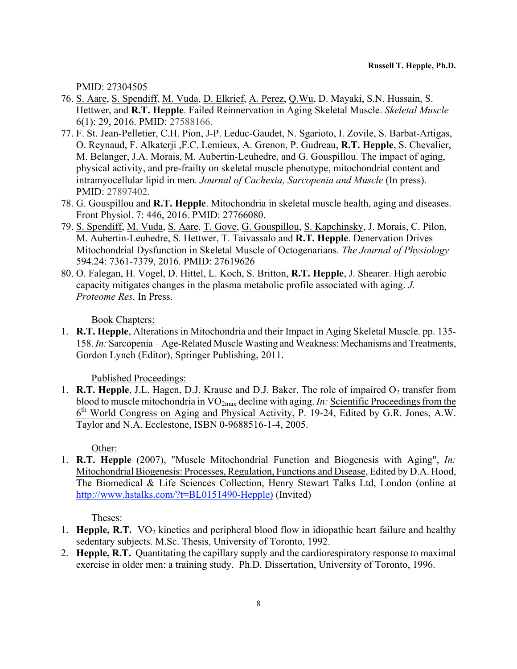PMID: 27304505

- 76. S. Aare, S. Spendiff, M. Vuda, D. Elkrief, A. Perez, Q.Wu, D. Mayaki, S.N. Hussain, S. Hettwer, and **R.T. Hepple**. Failed Reinnervation in Aging Skeletal Muscle. *Skeletal Muscle* 6(1): 29, 2016. PMID: 27588166.
- 77. F. St. Jean-Pelletier, C.H. Pion, J-P. Leduc-Gaudet, N. Sgarioto, I. Zovile, S. Barbat-Artigas, O. Reynaud, F. Alkaterji ,F.C. Lemieux, A. Grenon, P. Gudreau, **R.T. Hepple**, S. Chevalier, M. Belanger, J.A. Morais, M. Aubertin-Leuhedre, and G. Gouspillou. The impact of aging, physical activity, and pre-frailty on skeletal muscle phenotype, mitochondrial content and intramyocellular lipid in men. *Journal of Cachexia, Sarcopenia and Muscle* (In press). PMID: 27897402.
- 78. G. Gouspillou and **R.T. Hepple**. Mitochondria in skeletal muscle health, aging and diseases. Front Physiol. 7: 446, 2016. PMID: 27766080.
- 79. S. Spendiff, M. Vuda, S. Aare, T. Gove, G. Gouspillou, S. Kapchinsky, J. Morais, C. Pilon, M. Aubertin-Leuhedre, S. Hettwer, T. Taivassalo and **R.T. Hepple**. Denervation Drives Mitochondrial Dysfunction in Skeletal Muscle of Octogenarians. *The Journal of Physiology* 594.24: 7361-7379, 2016*.* PMID: 27619626
- 80. O. Falegan, H. Vogel, D. Hittel, L. Koch, S. Britton, **R.T. Hepple**, J. Shearer. High aerobic capacity mitigates changes in the plasma metabolic profile associated with aging. *J. Proteome Res.* In Press.

Book Chapters:

1. **R.T. Hepple**, Alterations in Mitochondria and their Impact in Aging Skeletal Muscle. pp. 135- 158. *In:* Sarcopenia – Age-Related Muscle Wasting and Weakness: Mechanisms and Treatments, Gordon Lynch (Editor), Springer Publishing, 2011.

Published Proceedings:

1. **R.T. Hepple**, J.L. Hagen, D.J. Krause and D.J. Baker. The role of impaired O<sub>2</sub> transfer from blood to muscle mitochondria in VO2max decline with aging. *In:* Scientific Proceedings from the 6th World Congress on Aging and Physical Activity, P. 19-24, Edited by G.R. Jones, A.W. Taylor and N.A. Ecclestone, ISBN 0-9688516-1-4, 2005.

Other:

1. **R.T. Hepple** (2007), "Muscle Mitochondrial Function and Biogenesis with Aging", *In:* Mitochondrial Biogenesis: Processes, Regulation, Functions and Disease, Edited by D.A. Hood, The Biomedical & Life Sciences Collection, Henry Stewart Talks Ltd, London (online at http://www.hstalks.com/?t=BL0151490-Hepple) (Invited)

Theses:

- 1. **Hepple, R.T.**  $VO<sub>2</sub>$  kinetics and peripheral blood flow in idiopathic heart failure and healthy sedentary subjects. M.Sc. Thesis, University of Toronto, 1992.
- 2. **Hepple, R.T.** Quantitating the capillary supply and the cardiorespiratory response to maximal exercise in older men: a training study. Ph.D. Dissertation, University of Toronto, 1996.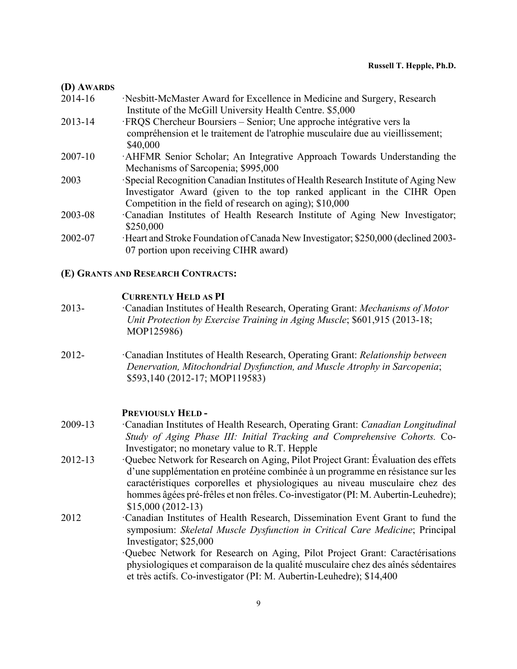#### **(D) AWARDS**

| 2014-16 | Nesbitt-McMaster Award for Excellence in Medicine and Surgery, Research           |
|---------|-----------------------------------------------------------------------------------|
|         | Institute of the McGill University Health Centre. \$5,000                         |
| 2013-14 | · FRQS Chercheur Boursiers – Senior; Une approche intégrative vers la             |
|         | compréhension et le traitement de l'atrophie musculaire due au vieillissement;    |
|         | \$40,000                                                                          |
| 2007-10 | AHFMR Senior Scholar; An Integrative Approach Towards Understanding the           |
|         | Mechanisms of Sarcopenia; \$995,000                                               |
| 2003    | Special Recognition Canadian Institutes of Health Research Institute of Aging New |
|         | Investigator Award (given to the top ranked applicant in the CIHR Open            |
|         | Competition in the field of research on aging); \$10,000                          |
| 2003-08 | Canadian Institutes of Health Research Institute of Aging New Investigator;       |
|         | \$250,000                                                                         |
| 2002-07 | Heart and Stroke Foundation of Canada New Investigator; \$250,000 (declined 2003- |
|         | 07 portion upon receiving CIHR award)                                             |

# **(E) GRANTS AND RESEARCH CONTRACTS:**

### **CURRENTLY HELD AS PI**

- 2013- ·Canadian Institutes of Health Research, Operating Grant: *Mechanisms of Motor Unit Protection by Exercise Training in Aging Muscle*; \$601,915 (2013-18; MOP125986)
- 2012- ·Canadian Institutes of Health Research, Operating Grant: *Relationship between Denervation, Mitochondrial Dysfunction, and Muscle Atrophy in Sarcopenia*; \$593,140 (2012-17; MOP119583)

### **PREVIOUSLY HELD -**

- 2009-13 ·Canadian Institutes of Health Research, Operating Grant: *Canadian Longitudinal Study of Aging Phase III: Initial Tracking and Comprehensive Cohorts.* Co-Investigator; no monetary value to R.T. Hepple
- 2012-13 ·Quebec Network for Research on Aging, Pilot Project Grant: Évaluation des effets d'une supplémentation en protéine combinée à un programme en résistance sur les caractéristiques corporelles et physiologiques au niveau musculaire chez des hommes âgées pré-frêles et non frêles. Co-investigator (PI: M. Aubertin-Leuhedre); \$15,000 (2012-13)
- 2012 ·Canadian Institutes of Health Research, Dissemination Event Grant to fund the symposium: *Skeletal Muscle Dysfunction in Critical Care Medicine*; Principal Investigator; \$25,000

·Quebec Network for Research on Aging, Pilot Project Grant: Caractérisations physiologiques et comparaison de la qualité musculaire chez des aînés sédentaires et très actifs. Co-investigator (PI: M. Aubertin-Leuhedre); \$14,400